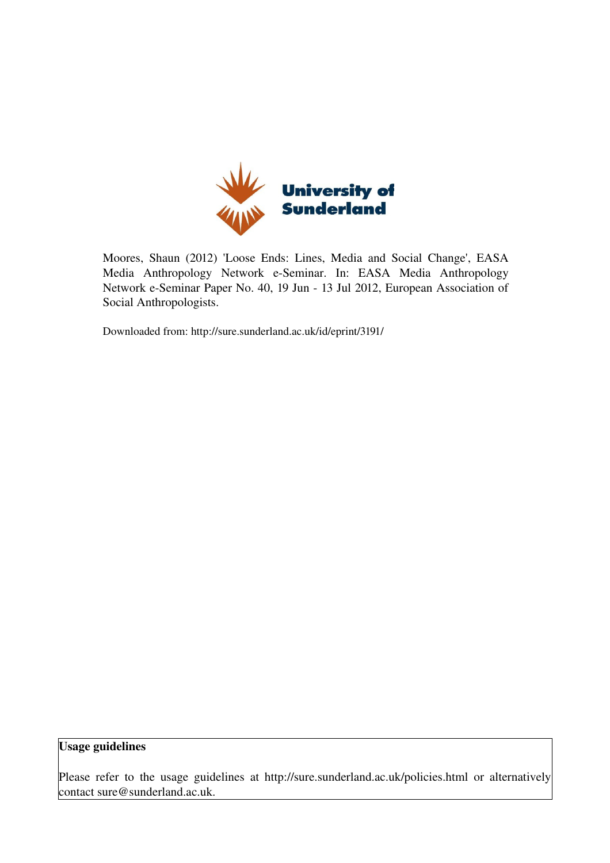

Moores, Shaun (2012) 'Loose Ends: Lines, Media and Social Change', EASA Media Anthropology Network e-Seminar. In: EASA Media Anthropology Network e-Seminar Paper No. 40, 19 Jun - 13 Jul 2012, European Association of Social Anthropologists.

Downloaded from: http://sure.sunderland.ac.uk/id/eprint/3191/

## Usage guidelines

Please refer to the usage guidelines at http://sure.sunderland.ac.uk/policies.html or alternatively contact sure@sunderland.ac.uk.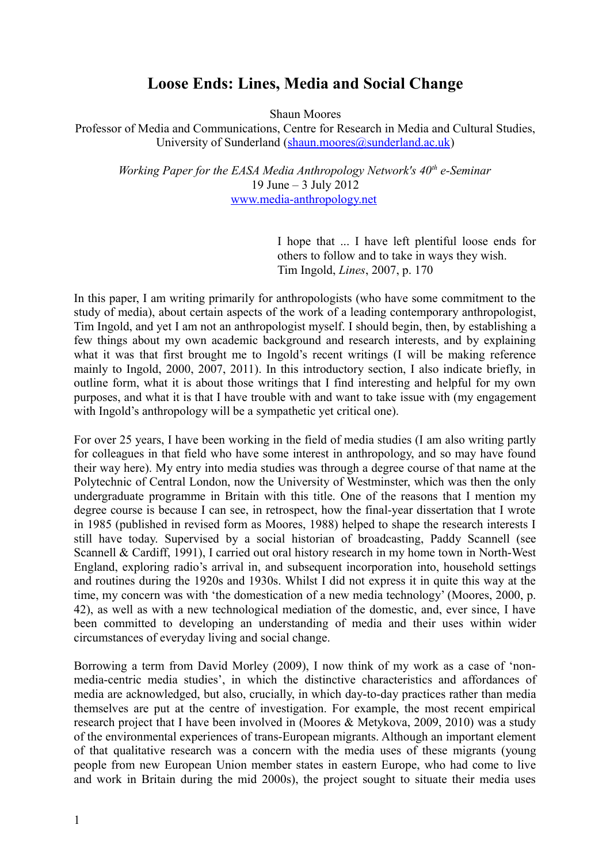# **Loose Ends: Lines, Media and Social Change**

Shaun Moores

Professor of Media and Communications, Centre for Research in Media and Cultural Studies, University of Sunderland [\(shaun.moores@sunderland.ac.uk\)](mailto:shaun.moores@sunderland.ac.uk)

*Working Paper for the EASA Media Anthropology Network's 40th e-Seminar* 19 June – 3 July 2012 [www.media-anthropology.net](http://www.media-anthropology.net/)

> I hope that ... I have left plentiful loose ends for others to follow and to take in ways they wish. Tim Ingold, *Lines*, 2007, p. 170

In this paper, I am writing primarily for anthropologists (who have some commitment to the study of media), about certain aspects of the work of a leading contemporary anthropologist, Tim Ingold, and yet I am not an anthropologist myself. I should begin, then, by establishing a few things about my own academic background and research interests, and by explaining what it was that first brought me to Ingold's recent writings (I will be making reference mainly to Ingold, 2000, 2007, 2011). In this introductory section, I also indicate briefly, in outline form, what it is about those writings that I find interesting and helpful for my own purposes, and what it is that I have trouble with and want to take issue with (my engagement with Ingold's anthropology will be a sympathetic yet critical one).

For over 25 years, I have been working in the field of media studies (I am also writing partly for colleagues in that field who have some interest in anthropology, and so may have found their way here). My entry into media studies was through a degree course of that name at the Polytechnic of Central London, now the University of Westminster, which was then the only undergraduate programme in Britain with this title. One of the reasons that I mention my degree course is because I can see, in retrospect, how the final-year dissertation that I wrote in 1985 (published in revised form as Moores, 1988) helped to shape the research interests I still have today. Supervised by a social historian of broadcasting, Paddy Scannell (see Scannell & Cardiff, 1991), I carried out oral history research in my home town in North-West England, exploring radio's arrival in, and subsequent incorporation into, household settings and routines during the 1920s and 1930s. Whilst I did not express it in quite this way at the time, my concern was with 'the domestication of a new media technology' (Moores, 2000, p. 42), as well as with a new technological mediation of the domestic, and, ever since, I have been committed to developing an understanding of media and their uses within wider circumstances of everyday living and social change.

Borrowing a term from David Morley (2009), I now think of my work as a case of 'nonmedia-centric media studies', in which the distinctive characteristics and affordances of media are acknowledged, but also, crucially, in which day-to-day practices rather than media themselves are put at the centre of investigation. For example, the most recent empirical research project that I have been involved in (Moores & Metykova, 2009, 2010) was a study of the environmental experiences of trans-European migrants. Although an important element of that qualitative research was a concern with the media uses of these migrants (young people from new European Union member states in eastern Europe, who had come to live and work in Britain during the mid 2000s), the project sought to situate their media uses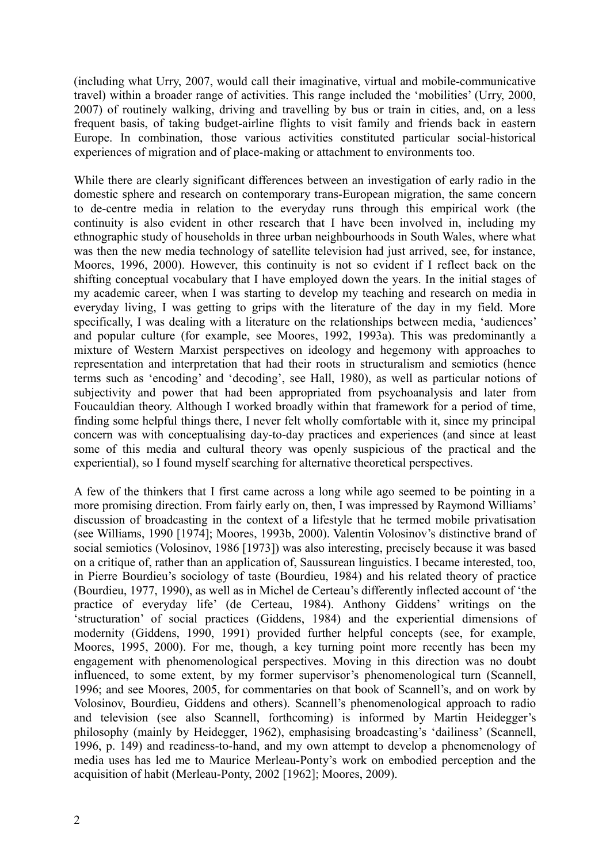(including what Urry, 2007, would call their imaginative, virtual and mobile-communicative travel) within a broader range of activities. This range included the 'mobilities' (Urry, 2000, 2007) of routinely walking, driving and travelling by bus or train in cities, and, on a less frequent basis, of taking budget-airline flights to visit family and friends back in eastern Europe. In combination, those various activities constituted particular social-historical experiences of migration and of place-making or attachment to environments too.

While there are clearly significant differences between an investigation of early radio in the domestic sphere and research on contemporary trans-European migration, the same concern to de-centre media in relation to the everyday runs through this empirical work (the continuity is also evident in other research that I have been involved in, including my ethnographic study of households in three urban neighbourhoods in South Wales, where what was then the new media technology of satellite television had just arrived, see, for instance, Moores, 1996, 2000). However, this continuity is not so evident if I reflect back on the shifting conceptual vocabulary that I have employed down the years. In the initial stages of my academic career, when I was starting to develop my teaching and research on media in everyday living, I was getting to grips with the literature of the day in my field. More specifically, I was dealing with a literature on the relationships between media, 'audiences' and popular culture (for example, see Moores, 1992, 1993a). This was predominantly a mixture of Western Marxist perspectives on ideology and hegemony with approaches to representation and interpretation that had their roots in structuralism and semiotics (hence terms such as 'encoding' and 'decoding', see Hall, 1980), as well as particular notions of subjectivity and power that had been appropriated from psychoanalysis and later from Foucauldian theory. Although I worked broadly within that framework for a period of time, finding some helpful things there, I never felt wholly comfortable with it, since my principal concern was with conceptualising day-to-day practices and experiences (and since at least some of this media and cultural theory was openly suspicious of the practical and the experiential), so I found myself searching for alternative theoretical perspectives.

A few of the thinkers that I first came across a long while ago seemed to be pointing in a more promising direction. From fairly early on, then, I was impressed by Raymond Williams' discussion of broadcasting in the context of a lifestyle that he termed mobile privatisation (see Williams, 1990 [1974]; Moores, 1993b, 2000). Valentin Volosinov's distinctive brand of social semiotics (Volosinov, 1986 [1973]) was also interesting, precisely because it was based on a critique of, rather than an application of, Saussurean linguistics. I became interested, too, in Pierre Bourdieu's sociology of taste (Bourdieu, 1984) and his related theory of practice (Bourdieu, 1977, 1990), as well as in Michel de Certeau's differently inflected account of 'the practice of everyday life' (de Certeau, 1984). Anthony Giddens' writings on the 'structuration' of social practices (Giddens, 1984) and the experiential dimensions of modernity (Giddens, 1990, 1991) provided further helpful concepts (see, for example, Moores, 1995, 2000). For me, though, a key turning point more recently has been my engagement with phenomenological perspectives. Moving in this direction was no doubt influenced, to some extent, by my former supervisor's phenomenological turn (Scannell, 1996; and see Moores, 2005, for commentaries on that book of Scannell's, and on work by Volosinov, Bourdieu, Giddens and others). Scannell's phenomenological approach to radio and television (see also Scannell, forthcoming) is informed by Martin Heidegger's philosophy (mainly by Heidegger, 1962), emphasising broadcasting's 'dailiness' (Scannell, 1996, p. 149) and readiness-to-hand, and my own attempt to develop a phenomenology of media uses has led me to Maurice Merleau-Ponty's work on embodied perception and the acquisition of habit (Merleau-Ponty, 2002 [1962]; Moores, 2009).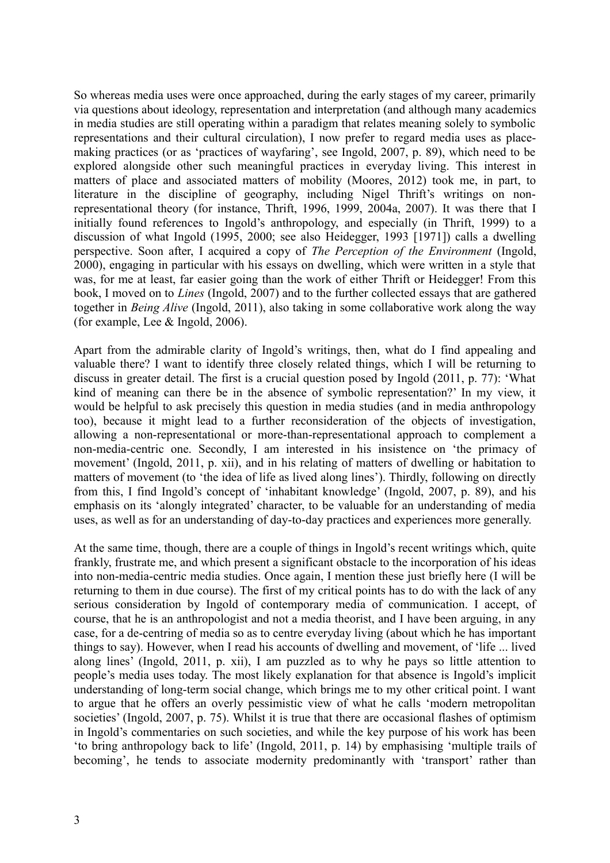So whereas media uses were once approached, during the early stages of my career, primarily via questions about ideology, representation and interpretation (and although many academics in media studies are still operating within a paradigm that relates meaning solely to symbolic representations and their cultural circulation), I now prefer to regard media uses as placemaking practices (or as 'practices of wayfaring', see Ingold, 2007, p. 89), which need to be explored alongside other such meaningful practices in everyday living. This interest in matters of place and associated matters of mobility (Moores, 2012) took me, in part, to literature in the discipline of geography, including Nigel Thrift's writings on nonrepresentational theory (for instance, Thrift, 1996, 1999, 2004a, 2007). It was there that I initially found references to Ingold's anthropology, and especially (in Thrift, 1999) to a discussion of what Ingold (1995, 2000; see also Heidegger, 1993 [1971]) calls a dwelling perspective. Soon after, I acquired a copy of *The Perception of the Environment* (Ingold, 2000), engaging in particular with his essays on dwelling, which were written in a style that was, for me at least, far easier going than the work of either Thrift or Heidegger! From this book, I moved on to *Lines* (Ingold, 2007) and to the further collected essays that are gathered together in *Being Alive* (Ingold, 2011), also taking in some collaborative work along the way (for example, Lee & Ingold, 2006).

Apart from the admirable clarity of Ingold's writings, then, what do I find appealing and valuable there? I want to identify three closely related things, which I will be returning to discuss in greater detail. The first is a crucial question posed by Ingold (2011, p. 77): 'What kind of meaning can there be in the absence of symbolic representation?' In my view, it would be helpful to ask precisely this question in media studies (and in media anthropology too), because it might lead to a further reconsideration of the objects of investigation, allowing a non-representational or more-than-representational approach to complement a non-media-centric one. Secondly, I am interested in his insistence on 'the primacy of movement' (Ingold, 2011, p. xii), and in his relating of matters of dwelling or habitation to matters of movement (to 'the idea of life as lived along lines'). Thirdly, following on directly from this, I find Ingold's concept of 'inhabitant knowledge' (Ingold, 2007, p. 89), and his emphasis on its 'alongly integrated' character, to be valuable for an understanding of media uses, as well as for an understanding of day-to-day practices and experiences more generally.

At the same time, though, there are a couple of things in Ingold's recent writings which, quite frankly, frustrate me, and which present a significant obstacle to the incorporation of his ideas into non-media-centric media studies. Once again, I mention these just briefly here (I will be returning to them in due course). The first of my critical points has to do with the lack of any serious consideration by Ingold of contemporary media of communication. I accept, of course, that he is an anthropologist and not a media theorist, and I have been arguing, in any case, for a de-centring of media so as to centre everyday living (about which he has important things to say). However, when I read his accounts of dwelling and movement, of 'life ... lived along lines' (Ingold, 2011, p. xii), I am puzzled as to why he pays so little attention to people's media uses today. The most likely explanation for that absence is Ingold's implicit understanding of long-term social change, which brings me to my other critical point. I want to argue that he offers an overly pessimistic view of what he calls 'modern metropolitan societies' (Ingold, 2007, p. 75). Whilst it is true that there are occasional flashes of optimism in Ingold's commentaries on such societies, and while the key purpose of his work has been 'to bring anthropology back to life' (Ingold, 2011, p. 14) by emphasising 'multiple trails of becoming', he tends to associate modernity predominantly with 'transport' rather than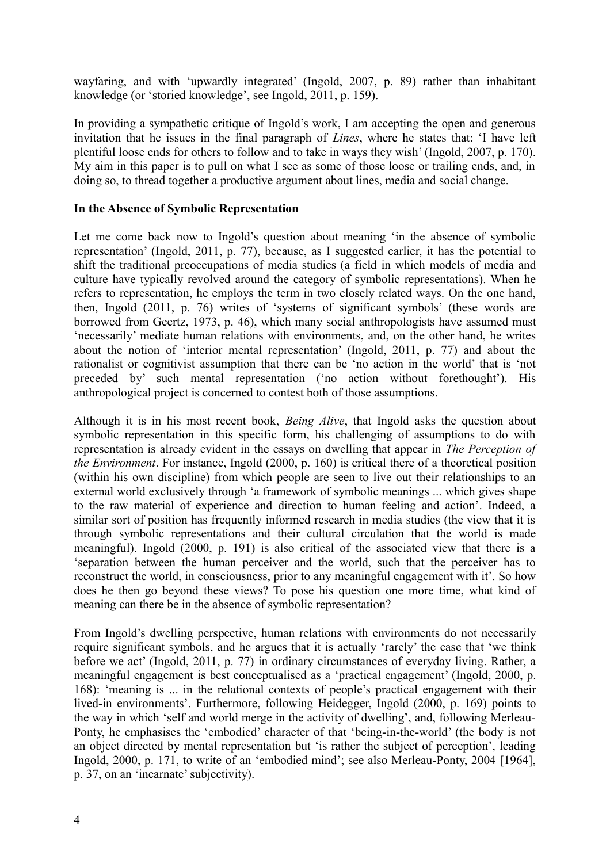wayfaring, and with 'upwardly integrated' (Ingold, 2007, p. 89) rather than inhabitant knowledge (or 'storied knowledge', see Ingold, 2011, p. 159).

In providing a sympathetic critique of Ingold's work, I am accepting the open and generous invitation that he issues in the final paragraph of *Lines*, where he states that: 'I have left plentiful loose ends for others to follow and to take in ways they wish' (Ingold, 2007, p. 170). My aim in this paper is to pull on what I see as some of those loose or trailing ends, and, in doing so, to thread together a productive argument about lines, media and social change.

#### **In the Absence of Symbolic Representation**

Let me come back now to Ingold's question about meaning 'in the absence of symbolic representation' (Ingold, 2011, p. 77), because, as I suggested earlier, it has the potential to shift the traditional preoccupations of media studies (a field in which models of media and culture have typically revolved around the category of symbolic representations). When he refers to representation, he employs the term in two closely related ways. On the one hand, then, Ingold (2011, p. 76) writes of 'systems of significant symbols' (these words are borrowed from Geertz, 1973, p. 46), which many social anthropologists have assumed must 'necessarily' mediate human relations with environments, and, on the other hand, he writes about the notion of 'interior mental representation' (Ingold, 2011, p. 77) and about the rationalist or cognitivist assumption that there can be 'no action in the world' that is 'not preceded by' such mental representation ('no action without forethought'). His anthropological project is concerned to contest both of those assumptions.

Although it is in his most recent book, *Being Alive*, that Ingold asks the question about symbolic representation in this specific form, his challenging of assumptions to do with representation is already evident in the essays on dwelling that appear in *The Perception of the Environment*. For instance, Ingold (2000, p. 160) is critical there of a theoretical position (within his own discipline) from which people are seen to live out their relationships to an external world exclusively through 'a framework of symbolic meanings ... which gives shape to the raw material of experience and direction to human feeling and action'. Indeed, a similar sort of position has frequently informed research in media studies (the view that it is through symbolic representations and their cultural circulation that the world is made meaningful). Ingold (2000, p. 191) is also critical of the associated view that there is a 'separation between the human perceiver and the world, such that the perceiver has to reconstruct the world, in consciousness, prior to any meaningful engagement with it'. So how does he then go beyond these views? To pose his question one more time, what kind of meaning can there be in the absence of symbolic representation?

From Ingold's dwelling perspective, human relations with environments do not necessarily require significant symbols, and he argues that it is actually 'rarely' the case that 'we think before we act' (Ingold, 2011, p. 77) in ordinary circumstances of everyday living. Rather, a meaningful engagement is best conceptualised as a 'practical engagement' (Ingold, 2000, p. 168): 'meaning is ... in the relational contexts of people's practical engagement with their lived-in environments'. Furthermore, following Heidegger, Ingold (2000, p. 169) points to the way in which 'self and world merge in the activity of dwelling', and, following Merleau-Ponty, he emphasises the 'embodied' character of that 'being-in-the-world' (the body is not an object directed by mental representation but 'is rather the subject of perception', leading Ingold, 2000, p. 171, to write of an 'embodied mind'; see also Merleau-Ponty, 2004 [1964], p. 37, on an 'incarnate' subjectivity).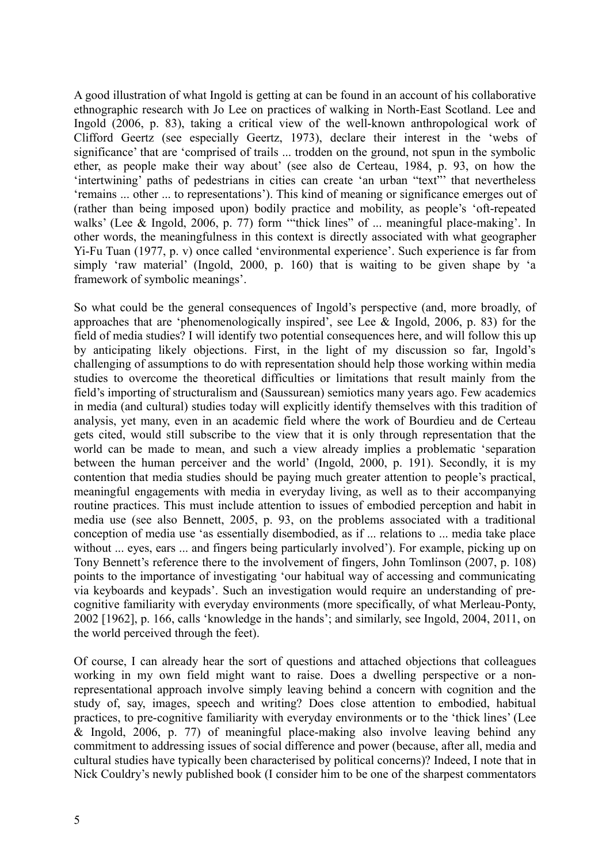A good illustration of what Ingold is getting at can be found in an account of his collaborative ethnographic research with Jo Lee on practices of walking in North-East Scotland. Lee and Ingold (2006, p. 83), taking a critical view of the well-known anthropological work of Clifford Geertz (see especially Geertz, 1973), declare their interest in the 'webs of significance' that are 'comprised of trails ... trodden on the ground, not spun in the symbolic ether, as people make their way about' (see also de Certeau, 1984, p. 93, on how the 'intertwining' paths of pedestrians in cities can create 'an urban "text"' that nevertheless 'remains ... other ... to representations'). This kind of meaning or significance emerges out of (rather than being imposed upon) bodily practice and mobility, as people's 'oft-repeated walks' (Lee & Ingold, 2006, p. 77) form '"thick lines" of ... meaningful place-making'. In other words, the meaningfulness in this context is directly associated with what geographer Yi-Fu Tuan (1977, p. v) once called 'environmental experience'. Such experience is far from simply 'raw material' (Ingold, 2000, p. 160) that is waiting to be given shape by 'a framework of symbolic meanings'.

So what could be the general consequences of Ingold's perspective (and, more broadly, of approaches that are 'phenomenologically inspired', see Lee & Ingold, 2006, p. 83) for the field of media studies? I will identify two potential consequences here, and will follow this up by anticipating likely objections. First, in the light of my discussion so far, Ingold's challenging of assumptions to do with representation should help those working within media studies to overcome the theoretical difficulties or limitations that result mainly from the field's importing of structuralism and (Saussurean) semiotics many years ago. Few academics in media (and cultural) studies today will explicitly identify themselves with this tradition of analysis, yet many, even in an academic field where the work of Bourdieu and de Certeau gets cited, would still subscribe to the view that it is only through representation that the world can be made to mean, and such a view already implies a problematic 'separation between the human perceiver and the world' (Ingold, 2000, p. 191). Secondly, it is my contention that media studies should be paying much greater attention to people's practical, meaningful engagements with media in everyday living, as well as to their accompanying routine practices. This must include attention to issues of embodied perception and habit in media use (see also Bennett, 2005, p. 93, on the problems associated with a traditional conception of media use 'as essentially disembodied, as if ... relations to ... media take place without ... eyes, ears ... and fingers being particularly involved'). For example, picking up on Tony Bennett's reference there to the involvement of fingers, John Tomlinson (2007, p. 108) points to the importance of investigating 'our habitual way of accessing and communicating via keyboards and keypads'. Such an investigation would require an understanding of precognitive familiarity with everyday environments (more specifically, of what Merleau-Ponty, 2002 [1962], p. 166, calls 'knowledge in the hands'; and similarly, see Ingold, 2004, 2011, on the world perceived through the feet).

Of course, I can already hear the sort of questions and attached objections that colleagues working in my own field might want to raise. Does a dwelling perspective or a nonrepresentational approach involve simply leaving behind a concern with cognition and the study of, say, images, speech and writing? Does close attention to embodied, habitual practices, to pre-cognitive familiarity with everyday environments or to the 'thick lines' (Lee & Ingold, 2006, p. 77) of meaningful place-making also involve leaving behind any commitment to addressing issues of social difference and power (because, after all, media and cultural studies have typically been characterised by political concerns)? Indeed, I note that in Nick Couldry's newly published book (I consider him to be one of the sharpest commentators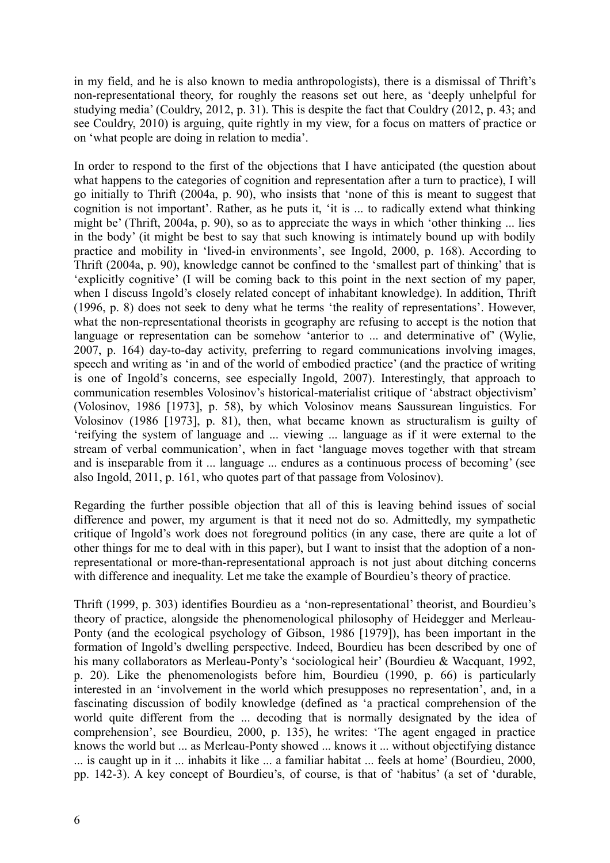in my field, and he is also known to media anthropologists), there is a dismissal of Thrift's non-representational theory, for roughly the reasons set out here, as 'deeply unhelpful for studying media' (Couldry, 2012, p. 31). This is despite the fact that Couldry (2012, p. 43; and see Couldry, 2010) is arguing, quite rightly in my view, for a focus on matters of practice or on 'what people are doing in relation to media'.

In order to respond to the first of the objections that I have anticipated (the question about what happens to the categories of cognition and representation after a turn to practice), I will go initially to Thrift (2004a, p. 90), who insists that 'none of this is meant to suggest that cognition is not important'. Rather, as he puts it, 'it is ... to radically extend what thinking might be' (Thrift, 2004a, p. 90), so as to appreciate the ways in which 'other thinking ... lies in the body' (it might be best to say that such knowing is intimately bound up with bodily practice and mobility in 'lived-in environments', see Ingold, 2000, p. 168). According to Thrift (2004a, p. 90), knowledge cannot be confined to the 'smallest part of thinking' that is 'explicitly cognitive' (I will be coming back to this point in the next section of my paper, when I discuss Ingold's closely related concept of inhabitant knowledge). In addition, Thrift (1996, p. 8) does not seek to deny what he terms 'the reality of representations'. However, what the non-representational theorists in geography are refusing to accept is the notion that language or representation can be somehow 'anterior to ... and determinative of' (Wylie, 2007, p. 164) day-to-day activity, preferring to regard communications involving images, speech and writing as 'in and of the world of embodied practice' (and the practice of writing is one of Ingold's concerns, see especially Ingold, 2007). Interestingly, that approach to communication resembles Volosinov's historical-materialist critique of 'abstract objectivism' (Volosinov, 1986 [1973], p. 58), by which Volosinov means Saussurean linguistics. For Volosinov (1986 [1973], p. 81), then, what became known as structuralism is guilty of 'reifying the system of language and ... viewing ... language as if it were external to the stream of verbal communication', when in fact 'language moves together with that stream and is inseparable from it ... language ... endures as a continuous process of becoming' (see also Ingold, 2011, p. 161, who quotes part of that passage from Volosinov).

Regarding the further possible objection that all of this is leaving behind issues of social difference and power, my argument is that it need not do so. Admittedly, my sympathetic critique of Ingold's work does not foreground politics (in any case, there are quite a lot of other things for me to deal with in this paper), but I want to insist that the adoption of a nonrepresentational or more-than-representational approach is not just about ditching concerns with difference and inequality. Let me take the example of Bourdieu's theory of practice.

Thrift (1999, p. 303) identifies Bourdieu as a 'non-representational' theorist, and Bourdieu's theory of practice, alongside the phenomenological philosophy of Heidegger and Merleau-Ponty (and the ecological psychology of Gibson, 1986 [1979]), has been important in the formation of Ingold's dwelling perspective. Indeed, Bourdieu has been described by one of his many collaborators as Merleau-Ponty's 'sociological heir' (Bourdieu & Wacquant, 1992, p. 20). Like the phenomenologists before him, Bourdieu (1990, p. 66) is particularly interested in an 'involvement in the world which presupposes no representation', and, in a fascinating discussion of bodily knowledge (defined as 'a practical comprehension of the world quite different from the ... decoding that is normally designated by the idea of comprehension', see Bourdieu, 2000, p. 135), he writes: 'The agent engaged in practice knows the world but ... as Merleau-Ponty showed ... knows it ... without objectifying distance ... is caught up in it ... inhabits it like ... a familiar habitat ... feels at home' (Bourdieu, 2000, pp. 142-3). A key concept of Bourdieu's, of course, is that of 'habitus' (a set of 'durable,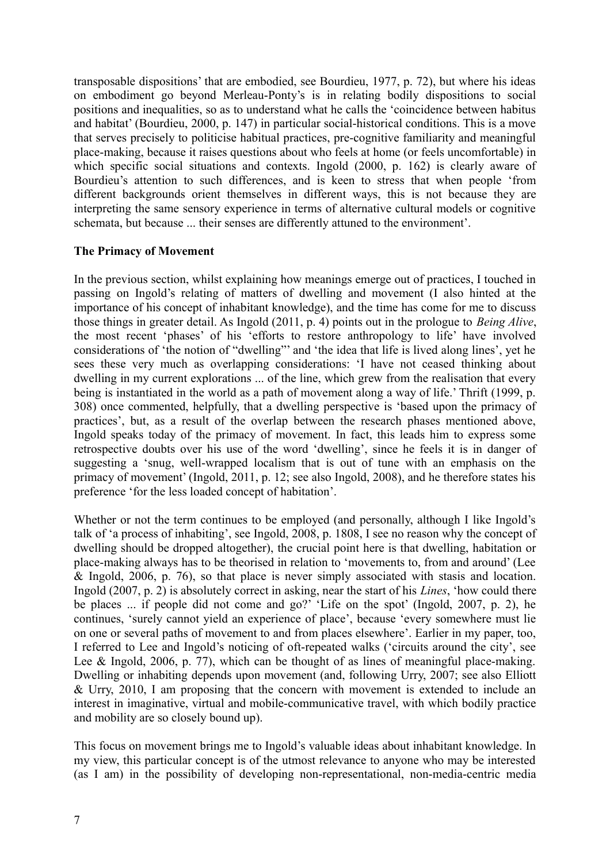transposable dispositions' that are embodied, see Bourdieu, 1977, p. 72), but where his ideas on embodiment go beyond Merleau-Ponty's is in relating bodily dispositions to social positions and inequalities, so as to understand what he calls the 'coincidence between habitus and habitat' (Bourdieu, 2000, p. 147) in particular social-historical conditions. This is a move that serves precisely to politicise habitual practices, pre-cognitive familiarity and meaningful place-making, because it raises questions about who feels at home (or feels uncomfortable) in which specific social situations and contexts. Ingold (2000, p. 162) is clearly aware of Bourdieu's attention to such differences, and is keen to stress that when people 'from different backgrounds orient themselves in different ways, this is not because they are interpreting the same sensory experience in terms of alternative cultural models or cognitive schemata, but because ... their senses are differently attuned to the environment'.

#### **The Primacy of Movement**

In the previous section, whilst explaining how meanings emerge out of practices, I touched in passing on Ingold's relating of matters of dwelling and movement (I also hinted at the importance of his concept of inhabitant knowledge), and the time has come for me to discuss those things in greater detail. As Ingold (2011, p. 4) points out in the prologue to *Being Alive*, the most recent 'phases' of his 'efforts to restore anthropology to life' have involved considerations of 'the notion of "dwelling"' and 'the idea that life is lived along lines', yet he sees these very much as overlapping considerations: 'I have not ceased thinking about dwelling in my current explorations ... of the line, which grew from the realisation that every being is instantiated in the world as a path of movement along a way of life.' Thrift (1999, p. 308) once commented, helpfully, that a dwelling perspective is 'based upon the primacy of practices', but, as a result of the overlap between the research phases mentioned above, Ingold speaks today of the primacy of movement. In fact, this leads him to express some retrospective doubts over his use of the word 'dwelling', since he feels it is in danger of suggesting a 'snug, well-wrapped localism that is out of tune with an emphasis on the primacy of movement' (Ingold, 2011, p. 12; see also Ingold, 2008), and he therefore states his preference 'for the less loaded concept of habitation'.

Whether or not the term continues to be employed (and personally, although I like Ingold's talk of 'a process of inhabiting', see Ingold, 2008, p. 1808, I see no reason why the concept of dwelling should be dropped altogether), the crucial point here is that dwelling, habitation or place-making always has to be theorised in relation to 'movements to, from and around' (Lee & Ingold, 2006, p. 76), so that place is never simply associated with stasis and location. Ingold (2007, p. 2) is absolutely correct in asking, near the start of his *Lines*, 'how could there be places ... if people did not come and go?' 'Life on the spot' (Ingold, 2007, p. 2), he continues, 'surely cannot yield an experience of place', because 'every somewhere must lie on one or several paths of movement to and from places elsewhere'. Earlier in my paper, too, I referred to Lee and Ingold's noticing of oft-repeated walks ('circuits around the city', see Lee & Ingold, 2006, p. 77), which can be thought of as lines of meaningful place-making. Dwelling or inhabiting depends upon movement (and, following Urry, 2007; see also Elliott & Urry, 2010, I am proposing that the concern with movement is extended to include an interest in imaginative, virtual and mobile-communicative travel, with which bodily practice and mobility are so closely bound up).

This focus on movement brings me to Ingold's valuable ideas about inhabitant knowledge. In my view, this particular concept is of the utmost relevance to anyone who may be interested (as I am) in the possibility of developing non-representational, non-media-centric media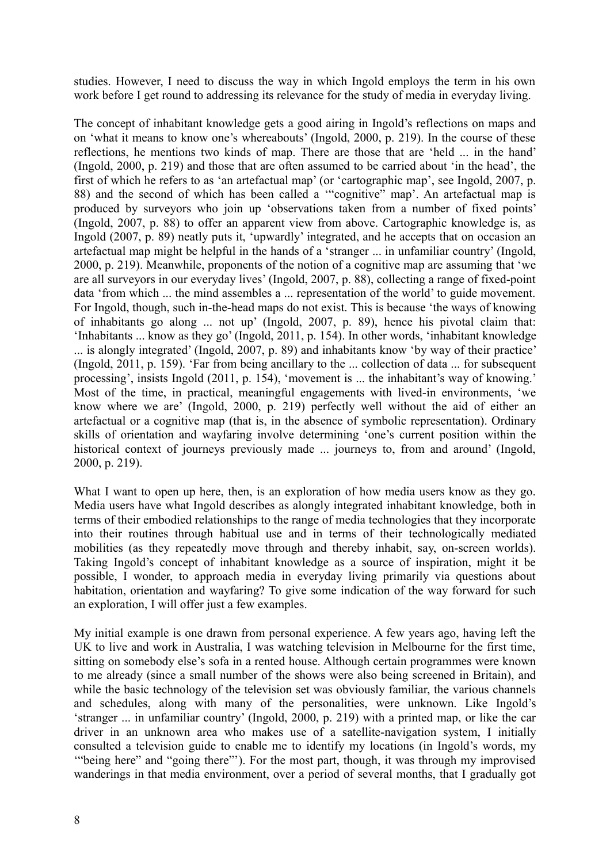studies. However, I need to discuss the way in which Ingold employs the term in his own work before I get round to addressing its relevance for the study of media in everyday living.

The concept of inhabitant knowledge gets a good airing in Ingold's reflections on maps and on 'what it means to know one's whereabouts' (Ingold, 2000, p. 219). In the course of these reflections, he mentions two kinds of map. There are those that are 'held ... in the hand' (Ingold, 2000, p. 219) and those that are often assumed to be carried about 'in the head', the first of which he refers to as 'an artefactual map' (or 'cartographic map', see Ingold, 2007, p. 88) and the second of which has been called a '"cognitive" map'. An artefactual map is produced by surveyors who join up 'observations taken from a number of fixed points' (Ingold, 2007, p. 88) to offer an apparent view from above. Cartographic knowledge is, as Ingold (2007, p. 89) neatly puts it, 'upwardly' integrated, and he accepts that on occasion an artefactual map might be helpful in the hands of a 'stranger ... in unfamiliar country' (Ingold, 2000, p. 219). Meanwhile, proponents of the notion of a cognitive map are assuming that 'we are all surveyors in our everyday lives' (Ingold, 2007, p. 88), collecting a range of fixed-point data 'from which ... the mind assembles a ... representation of the world' to guide movement. For Ingold, though, such in-the-head maps do not exist. This is because 'the ways of knowing of inhabitants go along ... not up' (Ingold, 2007, p. 89), hence his pivotal claim that: 'Inhabitants ... know as they go' (Ingold, 2011, p. 154). In other words, 'inhabitant knowledge ... is alongly integrated' (Ingold, 2007, p. 89) and inhabitants know 'by way of their practice' (Ingold, 2011, p. 159). 'Far from being ancillary to the ... collection of data ... for subsequent processing', insists Ingold (2011, p. 154), 'movement is ... the inhabitant's way of knowing.' Most of the time, in practical, meaningful engagements with lived-in environments, 'we know where we are' (Ingold, 2000, p. 219) perfectly well without the aid of either an artefactual or a cognitive map (that is, in the absence of symbolic representation). Ordinary skills of orientation and wayfaring involve determining 'one's current position within the historical context of journeys previously made ... journeys to, from and around' (Ingold, 2000, p. 219).

What I want to open up here, then, is an exploration of how media users know as they go. Media users have what Ingold describes as alongly integrated inhabitant knowledge, both in terms of their embodied relationships to the range of media technologies that they incorporate into their routines through habitual use and in terms of their technologically mediated mobilities (as they repeatedly move through and thereby inhabit, say, on-screen worlds). Taking Ingold's concept of inhabitant knowledge as a source of inspiration, might it be possible, I wonder, to approach media in everyday living primarily via questions about habitation, orientation and wayfaring? To give some indication of the way forward for such an exploration, I will offer just a few examples.

My initial example is one drawn from personal experience. A few years ago, having left the UK to live and work in Australia, I was watching television in Melbourne for the first time, sitting on somebody else's sofa in a rented house. Although certain programmes were known to me already (since a small number of the shows were also being screened in Britain), and while the basic technology of the television set was obviously familiar, the various channels and schedules, along with many of the personalities, were unknown. Like Ingold's 'stranger ... in unfamiliar country' (Ingold, 2000, p. 219) with a printed map, or like the car driver in an unknown area who makes use of a satellite-navigation system, I initially consulted a television guide to enable me to identify my locations (in Ingold's words, my '"being here" and "going there"'). For the most part, though, it was through my improvised wanderings in that media environment, over a period of several months, that I gradually got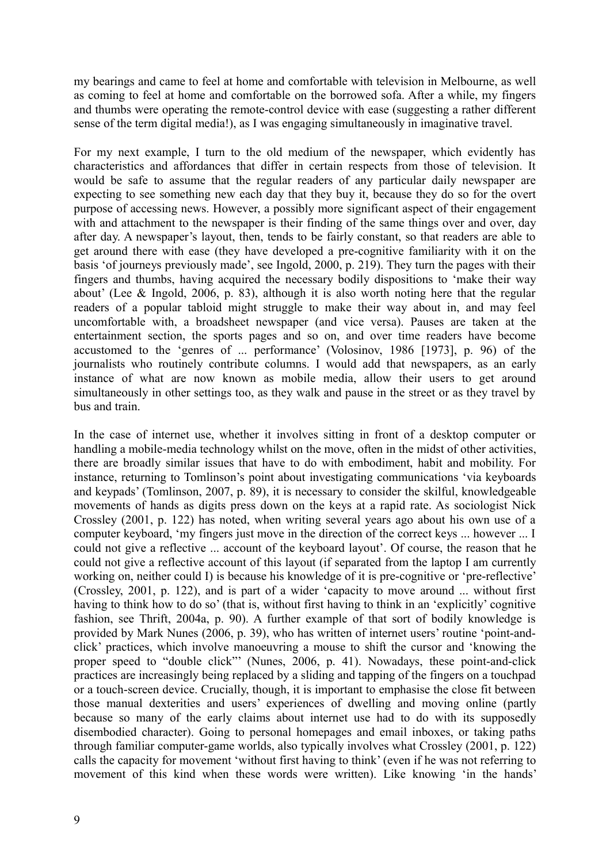my bearings and came to feel at home and comfortable with television in Melbourne, as well as coming to feel at home and comfortable on the borrowed sofa. After a while, my fingers and thumbs were operating the remote-control device with ease (suggesting a rather different sense of the term digital media!), as I was engaging simultaneously in imaginative travel.

For my next example, I turn to the old medium of the newspaper, which evidently has characteristics and affordances that differ in certain respects from those of television. It would be safe to assume that the regular readers of any particular daily newspaper are expecting to see something new each day that they buy it, because they do so for the overt purpose of accessing news. However, a possibly more significant aspect of their engagement with and attachment to the newspaper is their finding of the same things over and over, day after day. A newspaper's layout, then, tends to be fairly constant, so that readers are able to get around there with ease (they have developed a pre-cognitive familiarity with it on the basis 'of journeys previously made', see Ingold, 2000, p. 219). They turn the pages with their fingers and thumbs, having acquired the necessary bodily dispositions to 'make their way about' (Lee & Ingold, 2006, p. 83), although it is also worth noting here that the regular readers of a popular tabloid might struggle to make their way about in, and may feel uncomfortable with, a broadsheet newspaper (and vice versa). Pauses are taken at the entertainment section, the sports pages and so on, and over time readers have become accustomed to the 'genres of ... performance' (Volosinov, 1986 [1973], p. 96) of the journalists who routinely contribute columns. I would add that newspapers, as an early instance of what are now known as mobile media, allow their users to get around simultaneously in other settings too, as they walk and pause in the street or as they travel by bus and train.

In the case of internet use, whether it involves sitting in front of a desktop computer or handling a mobile-media technology whilst on the move, often in the midst of other activities, there are broadly similar issues that have to do with embodiment, habit and mobility. For instance, returning to Tomlinson's point about investigating communications 'via keyboards and keypads' (Tomlinson, 2007, p. 89), it is necessary to consider the skilful, knowledgeable movements of hands as digits press down on the keys at a rapid rate. As sociologist Nick Crossley (2001, p. 122) has noted, when writing several years ago about his own use of a computer keyboard, 'my fingers just move in the direction of the correct keys ... however ... I could not give a reflective ... account of the keyboard layout'. Of course, the reason that he could not give a reflective account of this layout (if separated from the laptop I am currently working on, neither could I) is because his knowledge of it is pre-cognitive or 'pre-reflective' (Crossley, 2001, p. 122), and is part of a wider 'capacity to move around ... without first having to think how to do so' (that is, without first having to think in an 'explicitly' cognitive fashion, see Thrift, 2004a, p. 90). A further example of that sort of bodily knowledge is provided by Mark Nunes (2006, p. 39), who has written of internet users' routine 'point-andclick' practices, which involve manoeuvring a mouse to shift the cursor and 'knowing the proper speed to "double click"' (Nunes, 2006, p. 41). Nowadays, these point-and-click practices are increasingly being replaced by a sliding and tapping of the fingers on a touchpad or a touch-screen device. Crucially, though, it is important to emphasise the close fit between those manual dexterities and users' experiences of dwelling and moving online (partly because so many of the early claims about internet use had to do with its supposedly disembodied character). Going to personal homepages and email inboxes, or taking paths through familiar computer-game worlds, also typically involves what Crossley (2001, p. 122) calls the capacity for movement 'without first having to think' (even if he was not referring to movement of this kind when these words were written). Like knowing 'in the hands'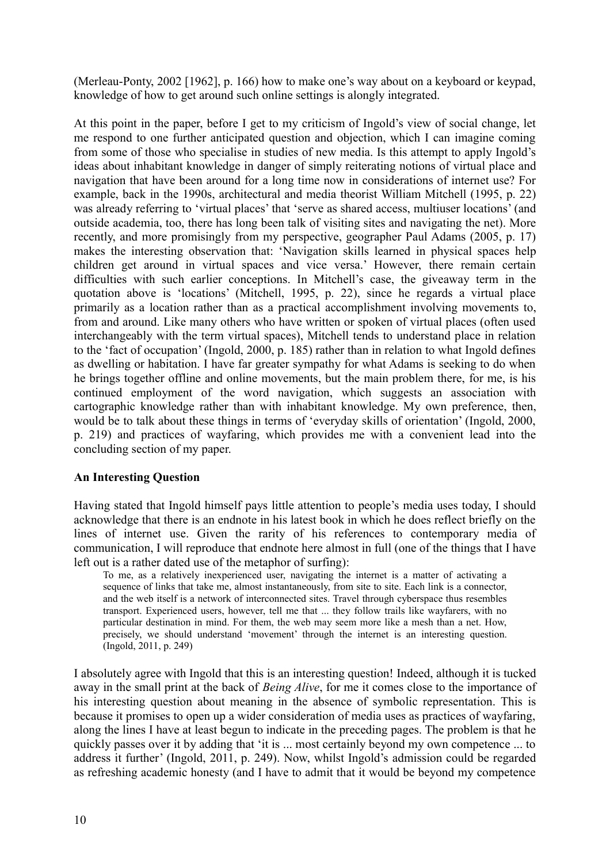(Merleau-Ponty, 2002 [1962], p. 166) how to make one's way about on a keyboard or keypad, knowledge of how to get around such online settings is alongly integrated.

At this point in the paper, before I get to my criticism of Ingold's view of social change, let me respond to one further anticipated question and objection, which I can imagine coming from some of those who specialise in studies of new media. Is this attempt to apply Ingold's ideas about inhabitant knowledge in danger of simply reiterating notions of virtual place and navigation that have been around for a long time now in considerations of internet use? For example, back in the 1990s, architectural and media theorist William Mitchell (1995, p. 22) was already referring to 'virtual places' that 'serve as shared access, multiuser locations' (and outside academia, too, there has long been talk of visiting sites and navigating the net). More recently, and more promisingly from my perspective, geographer Paul Adams (2005, p. 17) makes the interesting observation that: 'Navigation skills learned in physical spaces help children get around in virtual spaces and vice versa.' However, there remain certain difficulties with such earlier conceptions. In Mitchell's case, the giveaway term in the quotation above is 'locations' (Mitchell, 1995, p. 22), since he regards a virtual place primarily as a location rather than as a practical accomplishment involving movements to, from and around. Like many others who have written or spoken of virtual places (often used interchangeably with the term virtual spaces), Mitchell tends to understand place in relation to the 'fact of occupation' (Ingold, 2000, p. 185) rather than in relation to what Ingold defines as dwelling or habitation. I have far greater sympathy for what Adams is seeking to do when he brings together offline and online movements, but the main problem there, for me, is his continued employment of the word navigation, which suggests an association with cartographic knowledge rather than with inhabitant knowledge. My own preference, then, would be to talk about these things in terms of 'everyday skills of orientation' (Ingold, 2000, p. 219) and practices of wayfaring, which provides me with a convenient lead into the concluding section of my paper.

### **An Interesting Question**

Having stated that Ingold himself pays little attention to people's media uses today, I should acknowledge that there is an endnote in his latest book in which he does reflect briefly on the lines of internet use. Given the rarity of his references to contemporary media of communication, I will reproduce that endnote here almost in full (one of the things that I have left out is a rather dated use of the metaphor of surfing):

To me, as a relatively inexperienced user, navigating the internet is a matter of activating a sequence of links that take me, almost instantaneously, from site to site. Each link is a connector, and the web itself is a network of interconnected sites. Travel through cyberspace thus resembles transport. Experienced users, however, tell me that ... they follow trails like wayfarers, with no particular destination in mind. For them, the web may seem more like a mesh than a net. How, precisely, we should understand 'movement' through the internet is an interesting question. (Ingold, 2011, p. 249)

I absolutely agree with Ingold that this is an interesting question! Indeed, although it is tucked away in the small print at the back of *Being Alive*, for me it comes close to the importance of his interesting question about meaning in the absence of symbolic representation. This is because it promises to open up a wider consideration of media uses as practices of wayfaring, along the lines I have at least begun to indicate in the preceding pages. The problem is that he quickly passes over it by adding that 'it is ... most certainly beyond my own competence ... to address it further' (Ingold, 2011, p. 249). Now, whilst Ingold's admission could be regarded as refreshing academic honesty (and I have to admit that it would be beyond my competence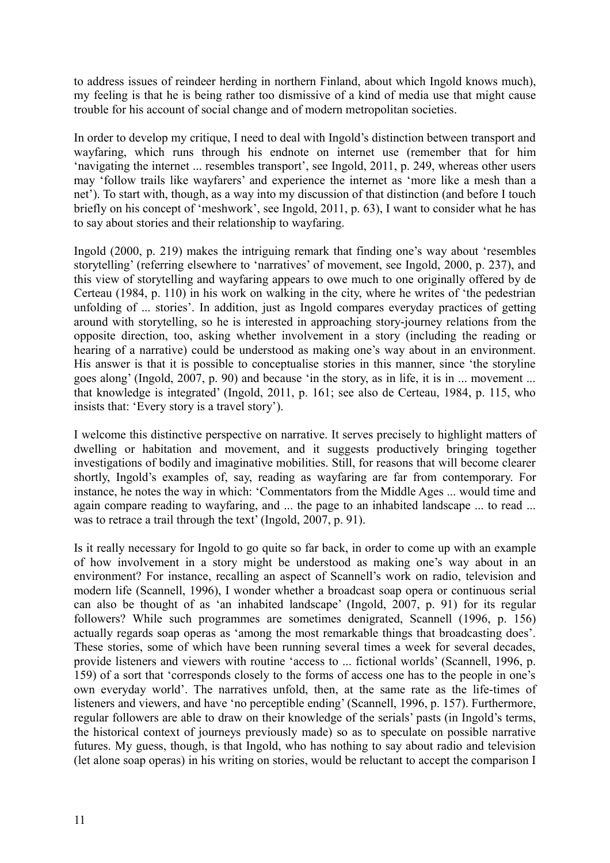to address issues of reindeer herding in northern Finland, about which Ingold knows much), my feeling is that he is being rather too dismissive of a kind of media use that might cause trouble for his account of social change and of modern metropolitan societies.

In order to develop my critique, I need to deal with Ingold's distinction between transport and wayfaring, which runs through his endnote on internet use (remember that for him 'navigating the internet ... resembles transport', see Ingold, 2011, p. 249, whereas other users may 'follow trails like wayfarers' and experience the internet as 'more like a mesh than a net'). To start with, though, as a way into my discussion of that distinction (and before I touch briefly on his concept of 'meshwork', see Ingold, 2011, p. 63), I want to consider what he has to say about stories and their relationship to wayfaring.

Ingold (2000, p. 219) makes the intriguing remark that finding one's way about 'resembles storytelling' (referring elsewhere to 'narratives' of movement, see Ingold, 2000, p. 237), and this view of storytelling and wayfaring appears to owe much to one originally offered by de Certeau (1984, p. 110) in his work on walking in the city, where he writes of 'the pedestrian unfolding of ... stories'. In addition, just as Ingold compares everyday practices of getting around with storytelling, so he is interested in approaching story-journey relations from the opposite direction, too, asking whether involvement in a story (including the reading or hearing of a narrative) could be understood as making one's way about in an environment. His answer is that it is possible to conceptualise stories in this manner, since 'the storyline goes along' (Ingold, 2007, p. 90) and because 'in the story, as in life, it is in ... movement ... that knowledge is integrated' (Ingold, 2011, p. 161; see also de Certeau, 1984, p. 115, who insists that: 'Every story is a travel story').

I welcome this distinctive perspective on narrative. It serves precisely to highlight matters of dwelling or habitation and movement, and it suggests productively bringing together investigations of bodily and imaginative mobilities. Still, for reasons that will become clearer shortly, Ingold's examples of, say, reading as wayfaring are far from contemporary. For instance, he notes the way in which: 'Commentators from the Middle Ages ... would time and again compare reading to wayfaring, and ... the page to an inhabited landscape ... to read ... was to retrace a trail through the text' (Ingold, 2007, p. 91).

Is it really necessary for Ingold to go quite so far back, in order to come up with an example of how involvement in a story might be understood as making one's way about in an environment? For instance, recalling an aspect of Scannell's work on radio, television and modern life (Scannell, 1996), I wonder whether a broadcast soap opera or continuous serial can also be thought of as 'an inhabited landscape' (Ingold, 2007, p. 91) for its regular followers? While such programmes are sometimes denigrated, Scannell (1996, p. 156) actually regards soap operas as 'among the most remarkable things that broadcasting does'. These stories, some of which have been running several times a week for several decades, provide listeners and viewers with routine 'access to ... fictional worlds' (Scannell, 1996, p. 159) of a sort that 'corresponds closely to the forms of access one has to the people in one's own everyday world'. The narratives unfold, then, at the same rate as the life-times of listeners and viewers, and have 'no perceptible ending' (Scannell, 1996, p. 157). Furthermore, regular followers are able to draw on their knowledge of the serials' pasts (in Ingold's terms, the historical context of journeys previously made) so as to speculate on possible narrative futures. My guess, though, is that Ingold, who has nothing to say about radio and television (let alone soap operas) in his writing on stories, would be reluctant to accept the comparison I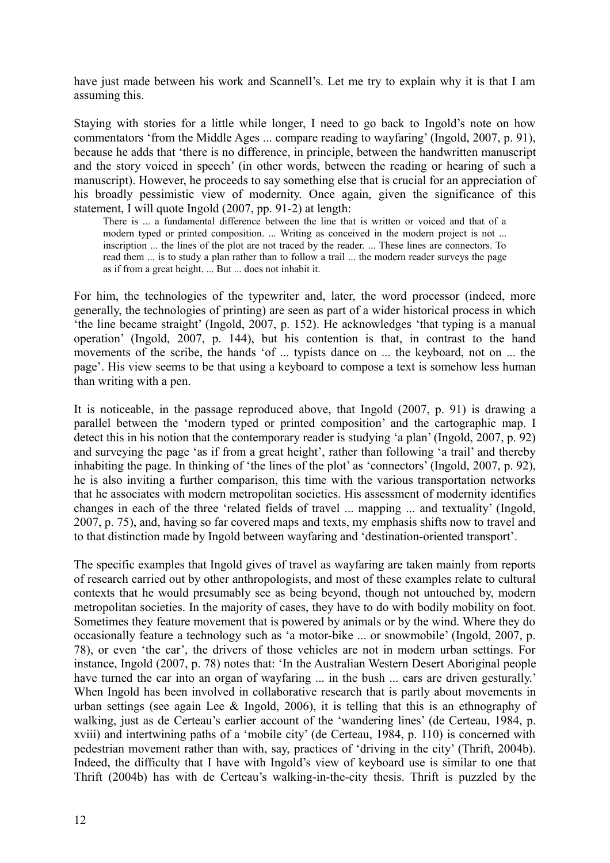have just made between his work and Scannell's. Let me try to explain why it is that I am assuming this.

Staying with stories for a little while longer, I need to go back to Ingold's note on how commentators 'from the Middle Ages ... compare reading to wayfaring' (Ingold, 2007, p. 91), because he adds that 'there is no difference, in principle, between the handwritten manuscript and the story voiced in speech' (in other words, between the reading or hearing of such a manuscript). However, he proceeds to say something else that is crucial for an appreciation of his broadly pessimistic view of modernity. Once again, given the significance of this statement, I will quote Ingold (2007, pp. 91-2) at length:

There is ... a fundamental difference between the line that is written or voiced and that of a modern typed or printed composition. ... Writing as conceived in the modern project is not ... inscription ... the lines of the plot are not traced by the reader. ... These lines are connectors. To read them ... is to study a plan rather than to follow a trail ... the modern reader surveys the page as if from a great height. ... But ... does not inhabit it.

For him, the technologies of the typewriter and, later, the word processor (indeed, more generally, the technologies of printing) are seen as part of a wider historical process in which 'the line became straight' (Ingold, 2007, p. 152). He acknowledges 'that typing is a manual operation' (Ingold, 2007, p. 144), but his contention is that, in contrast to the hand movements of the scribe, the hands 'of ... typists dance on ... the keyboard, not on ... the page'. His view seems to be that using a keyboard to compose a text is somehow less human than writing with a pen.

It is noticeable, in the passage reproduced above, that Ingold (2007, p. 91) is drawing a parallel between the 'modern typed or printed composition' and the cartographic map. I detect this in his notion that the contemporary reader is studying 'a plan' (Ingold, 2007, p. 92) and surveying the page 'as if from a great height', rather than following 'a trail' and thereby inhabiting the page. In thinking of 'the lines of the plot' as 'connectors' (Ingold, 2007, p. 92), he is also inviting a further comparison, this time with the various transportation networks that he associates with modern metropolitan societies. His assessment of modernity identifies changes in each of the three 'related fields of travel ... mapping ... and textuality' (Ingold, 2007, p. 75), and, having so far covered maps and texts, my emphasis shifts now to travel and to that distinction made by Ingold between wayfaring and 'destination-oriented transport'.

The specific examples that Ingold gives of travel as wayfaring are taken mainly from reports of research carried out by other anthropologists, and most of these examples relate to cultural contexts that he would presumably see as being beyond, though not untouched by, modern metropolitan societies. In the majority of cases, they have to do with bodily mobility on foot. Sometimes they feature movement that is powered by animals or by the wind. Where they do occasionally feature a technology such as 'a motor-bike ... or snowmobile' (Ingold, 2007, p. 78), or even 'the car', the drivers of those vehicles are not in modern urban settings. For instance, Ingold (2007, p. 78) notes that: 'In the Australian Western Desert Aboriginal people have turned the car into an organ of wayfaring ... in the bush ... cars are driven gesturally.' When Ingold has been involved in collaborative research that is partly about movements in urban settings (see again Lee & Ingold, 2006), it is telling that this is an ethnography of walking, just as de Certeau's earlier account of the 'wandering lines' (de Certeau, 1984, p. xviii) and intertwining paths of a 'mobile city' (de Certeau, 1984, p. 110) is concerned with pedestrian movement rather than with, say, practices of 'driving in the city' (Thrift, 2004b). Indeed, the difficulty that I have with Ingold's view of keyboard use is similar to one that Thrift (2004b) has with de Certeau's walking-in-the-city thesis. Thrift is puzzled by the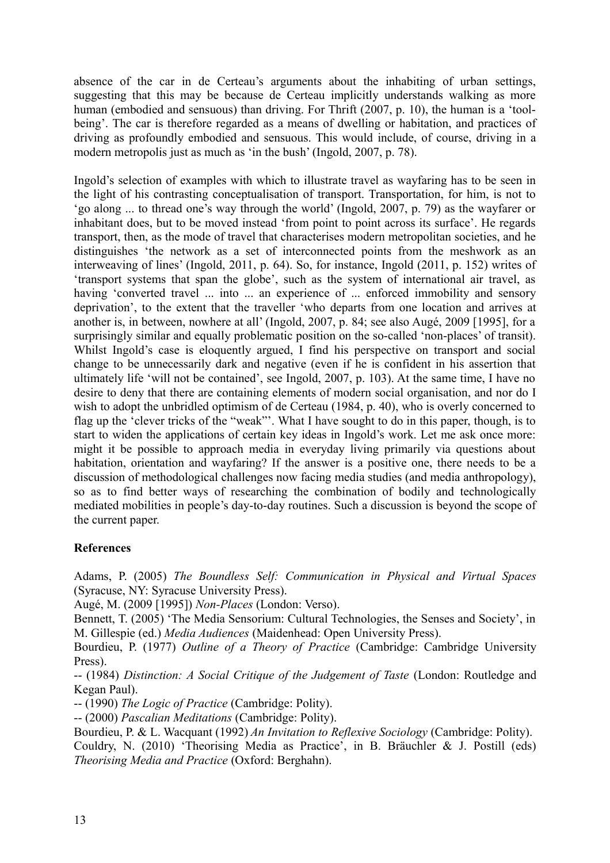absence of the car in de Certeau's arguments about the inhabiting of urban settings, suggesting that this may be because de Certeau implicitly understands walking as more human (embodied and sensuous) than driving. For Thrift (2007, p. 10), the human is a 'toolbeing'. The car is therefore regarded as a means of dwelling or habitation, and practices of driving as profoundly embodied and sensuous. This would include, of course, driving in a modern metropolis just as much as 'in the bush' (Ingold, 2007, p. 78).

Ingold's selection of examples with which to illustrate travel as wayfaring has to be seen in the light of his contrasting conceptualisation of transport. Transportation, for him, is not to 'go along ... to thread one's way through the world' (Ingold, 2007, p. 79) as the wayfarer or inhabitant does, but to be moved instead 'from point to point across its surface'. He regards transport, then, as the mode of travel that characterises modern metropolitan societies, and he distinguishes 'the network as a set of interconnected points from the meshwork as an interweaving of lines' (Ingold, 2011, p. 64). So, for instance, Ingold (2011, p. 152) writes of 'transport systems that span the globe', such as the system of international air travel, as having 'converted travel ... into ... an experience of ... enforced immobility and sensory deprivation', to the extent that the traveller 'who departs from one location and arrives at another is, in between, nowhere at all' (Ingold, 2007, p. 84; see also Augé, 2009 [1995], for a surprisingly similar and equally problematic position on the so-called 'non-places' of transit). Whilst Ingold's case is eloquently argued, I find his perspective on transport and social change to be unnecessarily dark and negative (even if he is confident in his assertion that ultimately life 'will not be contained', see Ingold, 2007, p. 103). At the same time, I have no desire to deny that there are containing elements of modern social organisation, and nor do I wish to adopt the unbridled optimism of de Certeau (1984, p. 40), who is overly concerned to flag up the 'clever tricks of the "weak"'. What I have sought to do in this paper, though, is to start to widen the applications of certain key ideas in Ingold's work. Let me ask once more: might it be possible to approach media in everyday living primarily via questions about habitation, orientation and wayfaring? If the answer is a positive one, there needs to be a discussion of methodological challenges now facing media studies (and media anthropology), so as to find better ways of researching the combination of bodily and technologically mediated mobilities in people's day-to-day routines. Such a discussion is beyond the scope of the current paper.

# **References**

Adams, P. (2005) *The Boundless Self: Communication in Physical and Virtual Spaces* (Syracuse, NY: Syracuse University Press).

Augé, M. (2009 [1995]) *Non-Places* (London: Verso).

Bennett, T. (2005) 'The Media Sensorium: Cultural Technologies, the Senses and Society', in M. Gillespie (ed.) *Media Audiences* (Maidenhead: Open University Press).

Bourdieu, P. (1977) *Outline of a Theory of Practice* (Cambridge: Cambridge University Press).

-- (1984) *Distinction: A Social Critique of the Judgement of Taste* (London: Routledge and Kegan Paul).

-- (1990) *The Logic of Practice* (Cambridge: Polity).

-- (2000) *Pascalian Meditations* (Cambridge: Polity).

Bourdieu, P. & L. Wacquant (1992) *An Invitation to Reflexive Sociology* (Cambridge: Polity).

Couldry, N. (2010) 'Theorising Media as Practice', in B. Bräuchler & J. Postill (eds) *Theorising Media and Practice* (Oxford: Berghahn).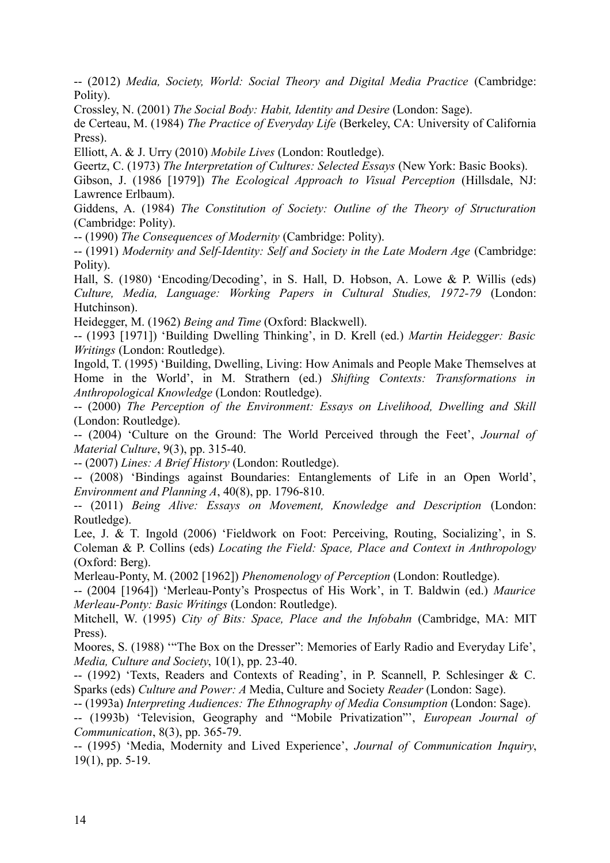-- (2012) *Media, Society, World: Social Theory and Digital Media Practice* (Cambridge: Polity).

Crossley, N. (2001) *The Social Body: Habit, Identity and Desire* (London: Sage).

de Certeau, M. (1984) *The Practice of Everyday Life* (Berkeley, CA: University of California Press).

Elliott, A. & J. Urry (2010) *Mobile Lives* (London: Routledge).

Geertz, C. (1973) *The Interpretation of Cultures: Selected Essays* (New York: Basic Books).

Gibson, J. (1986 [1979]) *The Ecological Approach to Visual Perception* (Hillsdale, NJ: Lawrence Erlbaum).

Giddens, A. (1984) *The Constitution of Society: Outline of the Theory of Structuration* (Cambridge: Polity).

-- (1990) *The Consequences of Modernity* (Cambridge: Polity).

-- (1991) *Modernity and Self-Identity: Self and Society in the Late Modern Age* (Cambridge: Polity).

Hall, S. (1980) 'Encoding/Decoding', in S. Hall, D. Hobson, A. Lowe & P. Willis (eds) *Culture, Media, Language: Working Papers in Cultural Studies, 1972-79* (London: Hutchinson).

Heidegger, M. (1962) *Being and Time* (Oxford: Blackwell).

-- (1993 [1971]) 'Building Dwelling Thinking', in D. Krell (ed.) *Martin Heidegger: Basic Writings* (London: Routledge).

Ingold, T. (1995) 'Building, Dwelling, Living: How Animals and People Make Themselves at Home in the World', in M. Strathern (ed.) *Shifting Contexts: Transformations in Anthropological Knowledge* (London: Routledge).

-- (2000) *The Perception of the Environment: Essays on Livelihood, Dwelling and Skill* (London: Routledge).

-- (2004) 'Culture on the Ground: The World Perceived through the Feet', *Journal of Material Culture*, 9(3), pp. 315-40.

-- (2007) *Lines: A Brief History* (London: Routledge).

-- (2008) 'Bindings against Boundaries: Entanglements of Life in an Open World', *Environment and Planning A*, 40(8), pp. 1796-810.

-- (2011) *Being Alive: Essays on Movement, Knowledge and Description* (London: Routledge).

Lee, J. & T. Ingold (2006) 'Fieldwork on Foot: Perceiving, Routing, Socializing', in S. Coleman & P. Collins (eds) *Locating the Field: Space, Place and Context in Anthropology* (Oxford: Berg).

Merleau-Ponty, M. (2002 [1962]) *Phenomenology of Perception* (London: Routledge).

-- (2004 [1964]) 'Merleau-Ponty's Prospectus of His Work', in T. Baldwin (ed.) *Maurice Merleau-Ponty: Basic Writings* (London: Routledge).

Mitchell, W. (1995) *City of Bits: Space, Place and the Infobahn* (Cambridge, MA: MIT Press).

Moores, S. (1988) '"The Box on the Dresser": Memories of Early Radio and Everyday Life', *Media, Culture and Society*, 10(1), pp. 23-40.

-- (1992) 'Texts, Readers and Contexts of Reading', in P. Scannell, P. Schlesinger & C. Sparks (eds) *Culture and Power: A* Media, Culture and Society *Reader* (London: Sage).

-- (1993a) *Interpreting Audiences: The Ethnography of Media Consumption* (London: Sage).

-- (1993b) 'Television, Geography and "Mobile Privatization"', *European Journal of Communication*, 8(3), pp. 365-79.

-- (1995) 'Media, Modernity and Lived Experience', *Journal of Communication Inquiry*, 19(1), pp. 5-19.